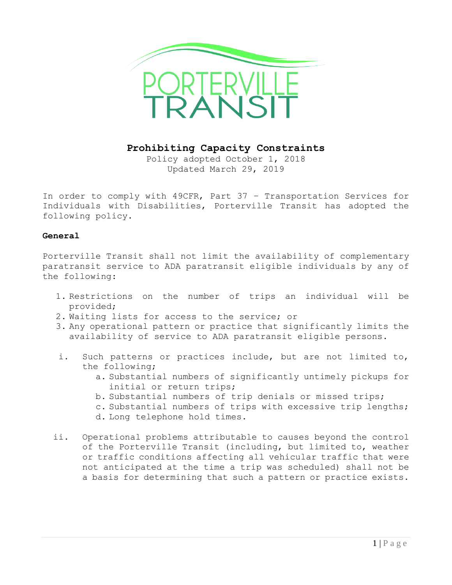

**Prohibiting Capacity Constraints**

Policy adopted October 1, 2018 Updated March 29, 2019

In order to comply with 49CFR, Part 37 – Transportation Services for Individuals with Disabilities, Porterville Transit has adopted the following policy.

## **General**

Porterville Transit shall not limit the availability of complementary paratransit service to ADA paratransit eligible individuals by any of the following:

- 1. Restrictions on the number of trips an individual will be provided;
- 2. Waiting lists for access to the service; or
- 3. Any operational pattern or practice that significantly limits the availability of service to ADA paratransit eligible persons.
- i. Such patterns or practices include, but are not limited to, the following;
	- a. Substantial numbers of significantly untimely pickups for initial or return trips;
	- b. Substantial numbers of trip denials or missed trips;
	- c. Substantial numbers of trips with excessive trip lengths;
	- d. Long telephone hold times.
- ii. Operational problems attributable to causes beyond the control of the Porterville Transit (including, but limited to, weather or traffic conditions affecting all vehicular traffic that were not anticipated at the time a trip was scheduled) shall not be a basis for determining that such a pattern or practice exists.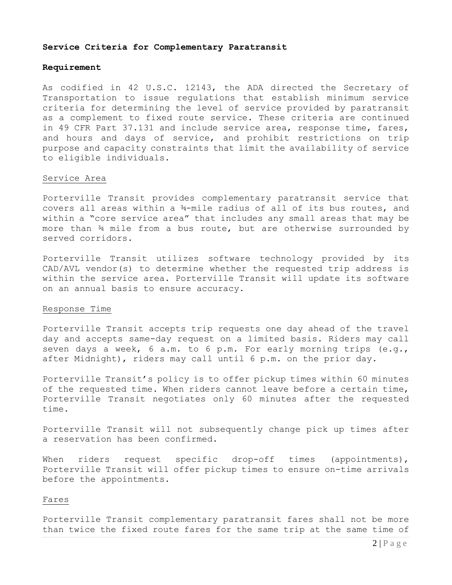#### **Service Criteria for Complementary Paratransit**

#### **Requirement**

As codified in 42 U.S.C. 12143, the ADA directed the Secretary of Transportation to issue regulations that establish minimum service criteria for determining the level of service provided by paratransit as a complement to fixed route service. These criteria are continued in 49 CFR Part 37.131 and include service area, response time, fares, and hours and days of service, and prohibit restrictions on trip purpose and capacity constraints that limit the availability of service to eligible individuals.

#### Service Area

Porterville Transit provides complementary paratransit service that covers all areas within a ¾-mile radius of all of its bus routes, and within a "core service area" that includes any small areas that may be more than ¾ mile from a bus route, but are otherwise surrounded by served corridors.

Porterville Transit utilizes software technology provided by its CAD/AVL vendor(s) to determine whether the requested trip address is within the service area. Porterville Transit will update its software on an annual basis to ensure accuracy.

#### Response Time

Porterville Transit accepts trip requests one day ahead of the travel day and accepts same-day request on a limited basis. Riders may call seven days a week, 6 a.m. to 6 p.m. For early morning trips (e.g., after Midnight), riders may call until 6 p.m. on the prior day.

Porterville Transit's policy is to offer pickup times within 60 minutes of the requested time. When riders cannot leave before a certain time, Porterville Transit negotiates only 60 minutes after the requested time.

Porterville Transit will not subsequently change pick up times after a reservation has been confirmed.

When riders request specific drop-off times (appointments), Porterville Transit will offer pickup times to ensure on-time arrivals before the appointments.

#### Fares

Porterville Transit complementary paratransit fares shall not be more than twice the fixed route fares for the same trip at the same time of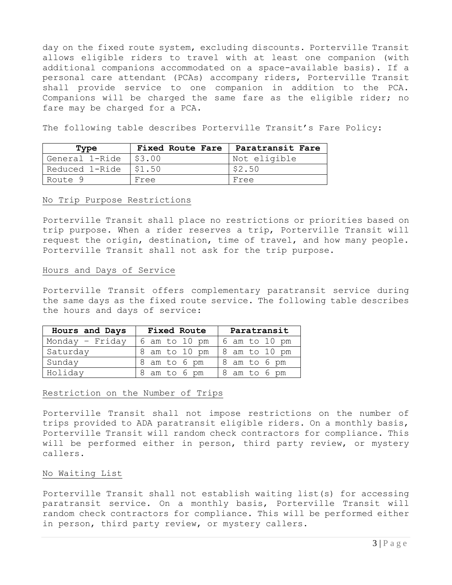day on the fixed route system, excluding discounts. Porterville Transit allows eligible riders to travel with at least one companion (with additional companions accommodated on a space-available basis). If a personal care attendant (PCAs) accompany riders, Porterville Transit shall provide service to one companion in addition to the PCA. Companions will be charged the same fare as the eligible rider; no fare may be charged for a PCA.

The following table describes Porterville Transit's Fare Policy:

| Type                    | Fixed Route Fare   Paratransit Fare |              |
|-------------------------|-------------------------------------|--------------|
| General 1-Ride   \$3.00 |                                     | Not eligible |
| Reduced 1-Ride   \$1.50 |                                     | \$2.50       |
| Route 9                 | Free                                | Free         |

### No Trip Purpose Restrictions

Porterville Transit shall place no restrictions or priorities based on trip purpose. When a rider reserves a trip, Porterville Transit will request the origin, destination, time of travel, and how many people. Porterville Transit shall not ask for the trip purpose.

### Hours and Days of Service

Porterville Transit offers complementary paratransit service during the same days as the fixed route service. The following table describes the hours and days of service:

| Hours and Days    | <b>Fixed Route</b> | Paratransit   |
|-------------------|--------------------|---------------|
| Monday - $Friday$ | 6 am to 10 pm      | 6 am to 10 pm |
| Saturday          | 8 am to 10 pm      | 8 am to 10 pm |
| Sunday            | 8 am to 6 pm       | 8 am to 6 pm  |
| Holiday           | 8 am to 6 pm       | 8 am to 6 pm  |

## Restriction on the Number of Trips

Porterville Transit shall not impose restrictions on the number of trips provided to ADA paratransit eligible riders. On a monthly basis, Porterville Transit will random check contractors for compliance. This will be performed either in person, third party review, or mystery callers.

## No Waiting List

Porterville Transit shall not establish waiting list(s) for accessing paratransit service. On a monthly basis, Porterville Transit will random check contractors for compliance. This will be performed either in person, third party review, or mystery callers.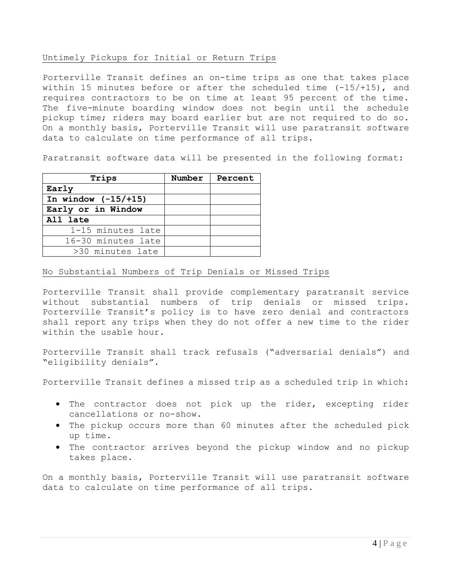## Untimely Pickups for Initial or Return Trips

Porterville Transit defines an on-time trips as one that takes place within 15 minutes before or after the scheduled time  $(-15/+15)$ , and requires contractors to be on time at least 95 percent of the time. The five-minute boarding window does not begin until the schedule pickup time; riders may board earlier but are not required to do so. On a monthly basis, Porterville Transit will use paratransit software data to calculate on time performance of all trips.

Paratransit software data will be presented in the following format:

| Trips                  | Number | Percent |
|------------------------|--------|---------|
| Early                  |        |         |
| In window $(-15/ +15)$ |        |         |
| Early or in Window     |        |         |
| All late               |        |         |
| 1-15 minutes late      |        |         |
| 16-30 minutes late     |        |         |
| >30 minutes late       |        |         |

# No Substantial Numbers of Trip Denials or Missed Trips

Porterville Transit shall provide complementary paratransit service without substantial numbers of trip denials or missed trips. Porterville Transit's policy is to have zero denial and contractors shall report any trips when they do not offer a new time to the rider within the usable hour.

Porterville Transit shall track refusals ("adversarial denials") and "eligibility denials".

Porterville Transit defines a missed trip as a scheduled trip in which:

- The contractor does not pick up the rider, excepting rider cancellations or no-show.
- The pickup occurs more than 60 minutes after the scheduled pick up time.
- The contractor arrives beyond the pickup window and no pickup takes place.

On a monthly basis, Porterville Transit will use paratransit software data to calculate on time performance of all trips.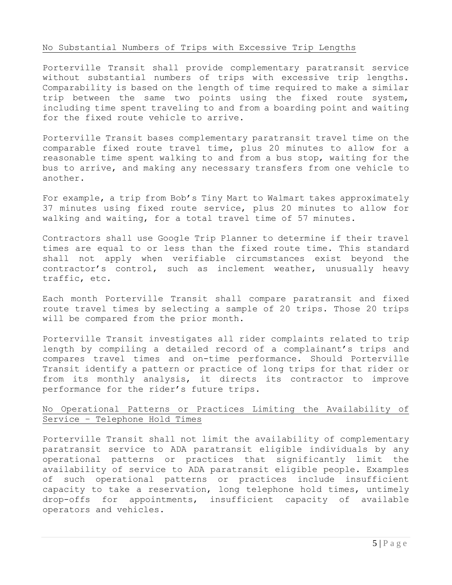### No Substantial Numbers of Trips with Excessive Trip Lengths

Porterville Transit shall provide complementary paratransit service without substantial numbers of trips with excessive trip lengths. Comparability is based on the length of time required to make a similar trip between the same two points using the fixed route system, including time spent traveling to and from a boarding point and waiting for the fixed route vehicle to arrive.

Porterville Transit bases complementary paratransit travel time on the comparable fixed route travel time, plus 20 minutes to allow for a reasonable time spent walking to and from a bus stop, waiting for the bus to arrive, and making any necessary transfers from one vehicle to another.

For example, a trip from Bob's Tiny Mart to Walmart takes approximately 37 minutes using fixed route service, plus 20 minutes to allow for walking and waiting, for a total travel time of 57 minutes.

Contractors shall use Google Trip Planner to determine if their travel times are equal to or less than the fixed route time. This standard shall not apply when verifiable circumstances exist beyond the contractor's control, such as inclement weather, unusually heavy traffic, etc.

Each month Porterville Transit shall compare paratransit and fixed route travel times by selecting a sample of 20 trips. Those 20 trips will be compared from the prior month.

Porterville Transit investigates all rider complaints related to trip length by compiling a detailed record of a complainant's trips and compares travel times and on-time performance. Should Porterville Transit identify a pattern or practice of long trips for that rider or from its monthly analysis, it directs its contractor to improve performance for the rider's future trips.

# No Operational Patterns or Practices Limiting the Availability of Service – Telephone Hold Times

Porterville Transit shall not limit the availability of complementary paratransit service to ADA paratransit eligible individuals by any operational patterns or practices that significantly limit the availability of service to ADA paratransit eligible people. Examples of such operational patterns or practices include insufficient capacity to take a reservation, long telephone hold times, untimely drop-offs for appointments, insufficient capacity of available operators and vehicles.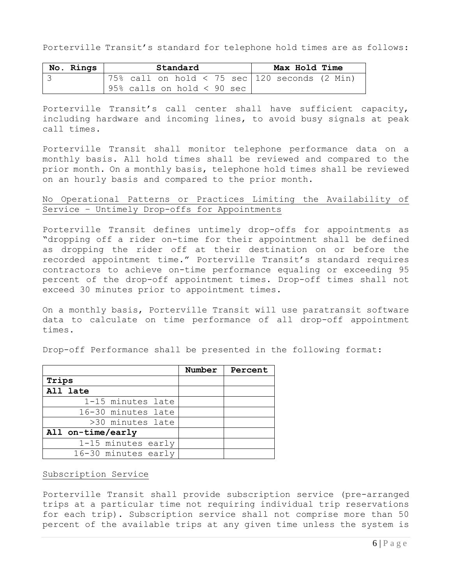Porterville Transit's standard for telephone hold times are as follows:

| No. Rings | Standard |                                 |  |  |  | Max Hold Time |                                                  |  |
|-----------|----------|---------------------------------|--|--|--|---------------|--------------------------------------------------|--|
|           |          |                                 |  |  |  |               | '75% call on hold < 75 sec   120 seconds (2 Min) |  |
|           |          | $95\%$ calls on hold $< 90$ sec |  |  |  |               |                                                  |  |

Porterville Transit's call center shall have sufficient capacity, including hardware and incoming lines, to avoid busy signals at peak call times.

Porterville Transit shall monitor telephone performance data on a monthly basis. All hold times shall be reviewed and compared to the prior month. On a monthly basis, telephone hold times shall be reviewed on an hourly basis and compared to the prior month.

# No Operational Patterns or Practices Limiting the Availability of Service – Untimely Drop-offs for Appointments

Porterville Transit defines untimely drop-offs for appointments as "dropping off a rider on-time for their appointment shall be defined as dropping the rider off at their destination on or before the recorded appointment time." Porterville Transit's standard requires contractors to achieve on-time performance equaling or exceeding 95 percent of the drop-off appointment times. Drop-off times shall not exceed 30 minutes prior to appointment times.

On a monthly basis, Porterville Transit will use paratransit software data to calculate on time performance of all drop-off appointment times.

Drop-off Performance shall be presented in the following format:

|                     | Number | Percent |
|---------------------|--------|---------|
| Trips               |        |         |
| All late            |        |         |
| 1-15 minutes late   |        |         |
| 16-30 minutes late  |        |         |
| >30 minutes late    |        |         |
| All on-time/early   |        |         |
| 1-15 minutes early  |        |         |
| 16-30 minutes early |        |         |

## Subscription Service

Porterville Transit shall provide subscription service (pre-arranged trips at a particular time not requiring individual trip reservations for each trip). Subscription service shall not comprise more than 50 percent of the available trips at any given time unless the system is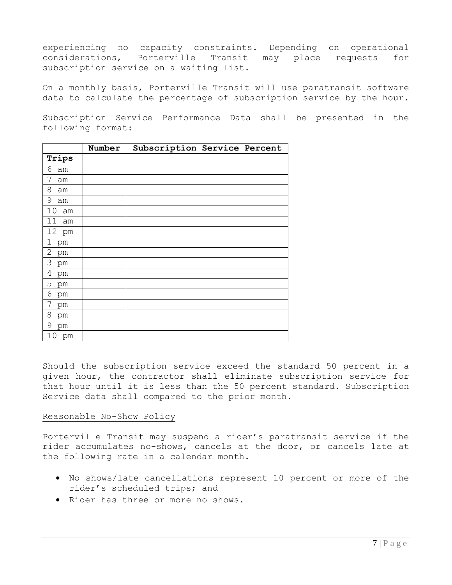experiencing no capacity constraints. Depending on operational considerations, Porterville Transit may place requests for subscription service on a waiting list.

On a monthly basis, Porterville Transit will use paratransit software data to calculate the percentage of subscription service by the hour.

Subscription Service Performance Data shall be presented in the following format:

|                      | Number | Subscription Service Percent |
|----------------------|--------|------------------------------|
| Trips                |        |                              |
| 6<br>am              |        |                              |
| 7<br>am              |        |                              |
| 8<br>am              |        |                              |
| 9<br>am              |        |                              |
| 10<br>am             |        |                              |
| 11<br>am             |        |                              |
| 12 pm                |        |                              |
| $\mathbf 1$<br>pm    |        |                              |
| $\mathbf{2}$<br>pm   |        |                              |
| 3<br>pm              |        |                              |
| $\overline{4}$<br>pm |        |                              |
| 5<br>pm              |        |                              |
| 6<br>pm              |        |                              |
| 7<br>pm              |        |                              |
| 8<br>pm              |        |                              |
| $\mathsf 9$<br>pm    |        |                              |
| 10<br>pm             |        |                              |

Should the subscription service exceed the standard 50 percent in a given hour, the contractor shall eliminate subscription service for that hour until it is less than the 50 percent standard. Subscription Service data shall compared to the prior month.

## Reasonable No-Show Policy

Porterville Transit may suspend a rider's paratransit service if the rider accumulates no-shows, cancels at the door, or cancels late at the following rate in a calendar month.

- No shows/late cancellations represent 10 percent or more of the rider's scheduled trips; and
- Rider has three or more no shows.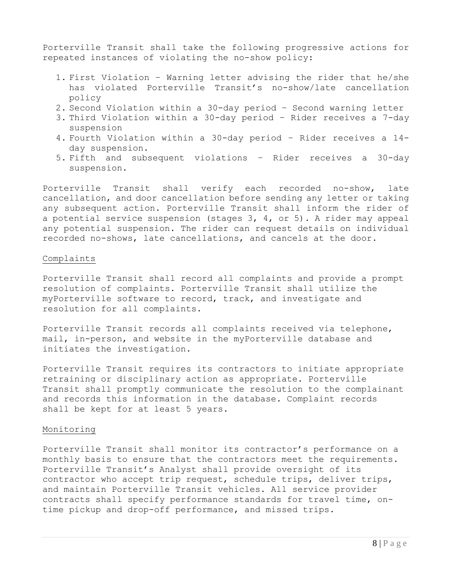Porterville Transit shall take the following progressive actions for repeated instances of violating the no-show policy:

- 1. First Violation Warning letter advising the rider that he/she has violated Porterville Transit's no-show/late cancellation policy
- 2. Second Violation within a 30-day period Second warning letter
- 3. Third Violation within a 30-day period Rider receives a 7-day suspension
- 4. Fourth Violation within a 30-day period Rider receives a 14 day suspension.
- 5. Fifth and subsequent violations Rider receives a 30-day suspension.

Porterville Transit shall verify each recorded no-show, late cancellation, and door cancellation before sending any letter or taking any subsequent action. Porterville Transit shall inform the rider of a potential service suspension (stages 3, 4, or 5). A rider may appeal any potential suspension. The rider can request details on individual recorded no-shows, late cancellations, and cancels at the door.

### Complaints

Porterville Transit shall record all complaints and provide a prompt resolution of complaints. Porterville Transit shall utilize the myPorterville software to record, track, and investigate and resolution for all complaints.

Porterville Transit records all complaints received via telephone, mail, in-person, and website in the myPorterville database and initiates the investigation.

Porterville Transit requires its contractors to initiate appropriate retraining or disciplinary action as appropriate. Porterville Transit shall promptly communicate the resolution to the complainant and records this information in the database. Complaint records shall be kept for at least 5 years.

## Monitoring

Porterville Transit shall monitor its contractor's performance on a monthly basis to ensure that the contractors meet the requirements. Porterville Transit's Analyst shall provide oversight of its contractor who accept trip request, schedule trips, deliver trips, and maintain Porterville Transit vehicles. All service provider contracts shall specify performance standards for travel time, ontime pickup and drop-off performance, and missed trips.